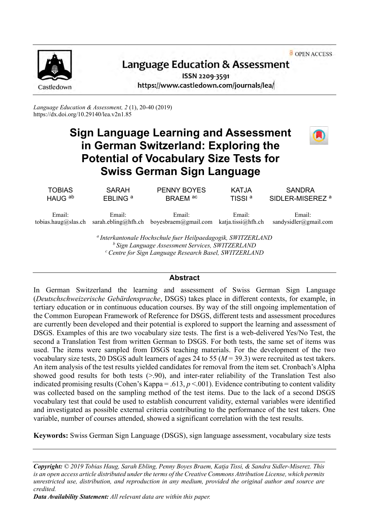OPEN ACCESS



# Language Education & Assessment

ISSN 2209-3591 https://www.castledown.com/journals/lea/

*Language Education & Assessment, 2* (1), 20-40 (2019) <https://dx.doi.org/10.29140/lea.v2n1.85>

# **Sign Language Learning and Assessment in German Switzerland: Exploring the Potential of Vocabulary Size Tests for Swiss German Sign Language**



*<sup>b</sup>Sign Language Assessment Services, SWITZERLAND <sup>c</sup>Centre for Sign Language Research Basel, SWITZERLAND*

### **Abstract**

In German Switzerland the learning and assessment of Swiss German Sign Language (*Deutschschweizerische Gebärdensprache*, DSGS) takes place in different contexts, for example, in tertiary education or in continuous education courses. By way of the still ongoing implementation of the Common European Framework of Reference for DSGS, different tests and assessment procedures are currently been developed and their potential is explored to support the learning and assessment of DSGS. Examples of this are two vocabulary size tests. The first is a web-delivered Yes/No Test, the second a Translation Test from written German to DSGS. For both tests, the same set of items was used. The items were sampled from DSGS teaching materials. For the development of the two vocabulary size tests, 20 DSGS adult learners of ages 24 to 55 (*M* = 39.3) were recruited as test takers. An item analysis of the test results yielded candidates for removal from the item set. Cronbach's Alpha showed good results for both tests (>.90), and inter-rater reliability of the Translation Test also indicated promising results (Cohen's Kappa = .613,  $p < .001$ ). Evidence contributing to content validity was collected based on the sampling method of the test items. Due to the lack of a second DSGS vocabulary test that could be used to establish concurrent validity, external variables were identified and investigated as possible external criteria contributing to the performance of the test takers. One variable, number of courses attended, showed a significant correlation with the test results.

**Keywords:** Swiss German Sign Language (DSGS), sign language assessment, vocabulary size tests

*Copyright: © 2019 Tobias Haug, Sarah Ebling, Penny Boyes Braem, Katja Tissi, & Sandra Sidler-Miserez. This is an open access article distributed under the terms of th[e Creative Commons Attribution License,](http://creativecommons.org/licenses/by-nc-nd/4.0) which permits unrestricted use, distribution, and reproduction in any medium, provided the original author and source are credited.*

*Data Availability Statement: All relevant data are within this paper.*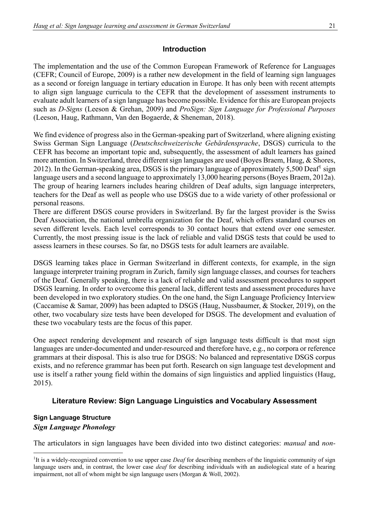# **Introduction**

The implementation and the use of the Common European Framework of Reference for Languages (CEFR; Council of Europe, 2009) is a rather new development in the field of learning sign languages as a second or foreign language in tertiary education in Europe. It has only been with recent attempts to align sign language curricula to the CEFR that the development of assessment instruments to evaluate adult learners of a sign language has become possible. Evidence for this are European projects such as *D-Signs* (Leeson & Grehan, 2009) and *ProSign: Sign Language for Professional Purposes*  (Leeson, Haug, Rathmann, Van den Bogaerde, & Sheneman, 2018).

We find evidence of progress also in the German-speaking part of Switzerland, where aligning existing Swiss German Sign Language (*Deutschschweizerische Gebärdensprache*, DSGS) curricula to the CEFR has become an important topic and, subsequently, the assessment of adult learners has gained more attention. In Switzerland, three different sign languages are used (Boyes Braem, Haug, & Shores, 2012). In the German-speaking area, DSGS is the primary language of approximately 5,500 Deaf<sup>1</sup> sign language users and a second language to approximately 13,000 hearing persons (Boyes Braem, 2012a). The group of hearing learners includes hearing children of Deaf adults, sign language interpreters, teachers for the Deaf as well as people who use DSGS due to a wide variety of other professional or personal reasons.

There are different DSGS course providers in Switzerland. By far the largest provider is the Swiss Deaf Association, the national umbrella organization for the Deaf, which offers standard courses on seven different levels. Each level corresponds to 30 contact hours that extend over one semester. Currently, the most pressing issue is the lack of reliable and valid DSGS tests that could be used to assess learners in these courses. So far, no DSGS tests for adult learners are available.

DSGS learning takes place in German Switzerland in different contexts, for example, in the sign language interpreter training program in Zurich, family sign language classes, and courses for teachers of the Deaf. Generally speaking, there is a lack of reliable and valid assessment procedures to support DSGS learning. In order to overcome this general lack, different tests and assessment procedures have been developed in two exploratory studies. On the one hand, the Sign Language Proficiency Interview (Caccamise & Samar, 2009) has been adapted to DSGS (Haug, Nussbaumer, & Stocker, 2019), on the other, two vocabulary size tests have been developed for DSGS. The development and evaluation of these two vocabulary tests are the focus of this paper.

One aspect rendering development and research of sign language tests difficult is that most sign languages are under-documented and under-resourced and therefore have, e.g., no corpora or reference grammars at their disposal. This is also true for DSGS: No balanced and representative DSGS corpus exists, and no reference grammar has been put forth. Research on sign language test development and use is itself a rather young field within the domains of sign linguistics and applied linguistics (Haug, 2015).

# **Literature Review: Sign Language Linguistics and Vocabulary Assessment**

# **Sign Language Structure** *Sign Language Phonology*

The articulators in sign languages have been divided into two distinct categories: *manual* and *non-*

<sup>&</sup>lt;sup>1</sup>It is a widely-recognized convention to use upper case *Deaf* for describing members of the linguistic community of sign language users and, in contrast, the lower case *deaf* for describing individuals with an audiological state of a hearing impairment, not all of whom might be sign language users (Morgan & Woll, 2002).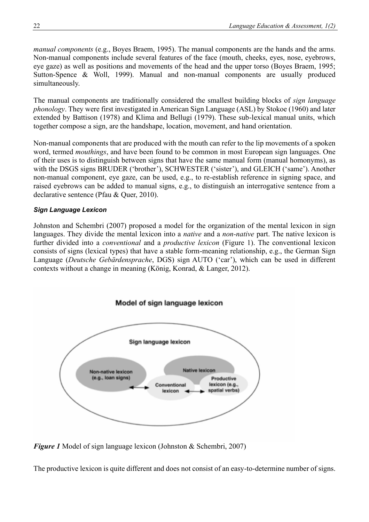*manual components* (e.g., Boyes Braem, 1995). The manual components are the hands and the arms. Non-manual components include several features of the face (mouth, cheeks, eyes, nose, eyebrows, eye gaze) as well as positions and movements of the head and the upper torso (Boyes Braem, 1995; Sutton-Spence & Woll, 1999). Manual and non-manual components are usually produced simultaneously.

The manual components are traditionally considered the smallest building blocks of *sign language phonology*. They were first investigated in American Sign Language (ASL) by Stokoe (1960) and later extended by Battison (1978) and Klima and Bellugi (1979). These sub-lexical manual units, which together compose a sign, are the handshape, location, movement, and hand orientation.

Non-manual components that are produced with the mouth can refer to the lip movements of a spoken word, termed *mouthings*, and have been found to be common in most European sign languages. One of their uses is to distinguish between signs that have the same manual form (manual homonyms), as with the DSGS signs BRUDER ('brother'), SCHWESTER ('sister'), and GLEICH ('same'). Another non-manual component, eye gaze, can be used, e.g., to re-establish reference in signing space, and raised eyebrows can be added to manual signs, e.g., to distinguish an interrogative sentence from a declarative sentence (Pfau & Quer, 2010).

# *Sign Language Lexicon*

Johnston and Schembri (2007) proposed a model for the organization of the mental lexicon in sign languages. They divide the mental lexicon into a *native* and a *non-native* part. The native lexicon is further divided into a *conventional* and a *productive lexicon* (Figure 1). The conventional lexicon consists of signs (lexical types) that have a stable form-meaning relationship, e.g., the German Sign Language (*Deutsche Gebärdensprache*, DGS) sign AUTO ('car'), which can be used in different contexts without a change in meaning (König, Konrad, & Langer, 2012).



*Figure 1* Model of sign language lexicon (Johnston & Schembri, 2007)

The productive lexicon is quite different and does not consist of an easy-to-determine number of signs.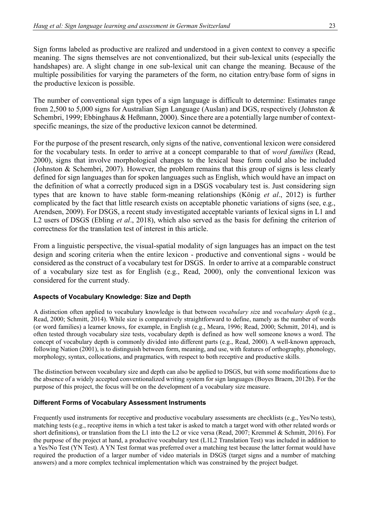Sign forms labeled as productive are realized and understood in a given context to convey a specific meaning. The signs themselves are not conventionalized, but their sub-lexical units (especially the handshapes) are. A slight change in one sub-lexical unit can change the meaning. Because of the multiple possibilities for varying the parameters of the form, no citation entry/base form of signs in the productive lexicon is possible.

The number of conventional sign types of a sign language is difficult to determine: Estimates range from 2,500 to 5,000 signs for Australian Sign Language (Auslan) and DGS, respectively (Johnston & Schembri, 1999; Ebbinghaus & Heßmann, 2000). Since there are a potentially large number of contextspecific meanings, the size of the productive lexicon cannot be determined.

For the purpose of the present research, only signs of the native, conventional lexicon were considered for the vocabulary tests. In order to arrive at a concept comparable to that of *word families* (Read, 2000), signs that involve morphological changes to the lexical base form could also be included (Johnston & Schembri, 2007). However, the problem remains that this group of signs is less clearly defined for sign languages than for spoken languages such as English, which would have an impact on the definition of what a correctly produced sign in a DSGS vocabulary test is. Just considering sign types that are known to have stable form-meaning relationships (König *et al*., 2012) is further complicated by the fact that little research exists on acceptable phonetic variations of signs (see, e.g., Arendsen, 2009). For DSGS, a recent study investigated acceptable variants of lexical signs in L1 and L2 users of DSGS (Ebling *et al*., 2018), which also served as the basis for defining the criterion of correctness for the translation test of interest in this article.

From a linguistic perspective, the visual-spatial modality of sign languages has an impact on the test design and scoring criteria when the entire lexicon - productive and conventional signs - would be considered as the construct of a vocabulary test for DSGS. In order to arrive at a comparable construct of a vocabulary size test as for English (e.g., Read, 2000), only the conventional lexicon was considered for the current study.

### **Aspects of Vocabulary Knowledge: Size and Depth**

A distinction often applied to vocabulary knowledge is that between *vocabulary siz*e and *vocabulary depth* (e.g., Read, 2000; Schmitt, 2014). While size is comparatively straightforward to define, namely as the number of words (or word families) a learner knows, for example, in English (e.g., Meara, 1996; Read, 2000; Schmitt, 2014), and is often tested through vocabulary size tests, vocabulary depth is defined as how well someone knows a word. The concept of vocabulary depth is commonly divided into different parts (e.g., Read, 2000). A well-known approach, following Nation (2001), is to distinguish between form, meaning, and use, with features of orthography, phonology, morphology, syntax, collocations, and pragmatics, with respect to both receptive and productive skills.

The distinction between vocabulary size and depth can also be applied to DSGS, but with some modifications due to the absence of a widely accepted conventionalized writing system for sign languages (Boyes Braem, 2012b). For the purpose of this project, the focus will be on the development of a vocabulary size measure.

### **Different Forms of Vocabulary Assessment Instruments**

Frequently used instruments for receptive and productive vocabulary assessments are checklists (e.g., Yes/No tests), matching tests (e.g., receptive items in which a test taker is asked to match a target word with other related words or short definitions), or translation from the L1 into the L2 or vice versa (Read, 2007; Kremmel & Schmitt, 2016). For the purpose of the project at hand, a productive vocabulary test (L1L2 Translation Test) was included in addition to a Yes/No Test (YN Test). A YN Test format was preferred over a matching test because the latter format would have required the production of a larger number of video materials in DSGS (target signs and a number of matching answers) and a more complex technical implementation which was constrained by the project budget.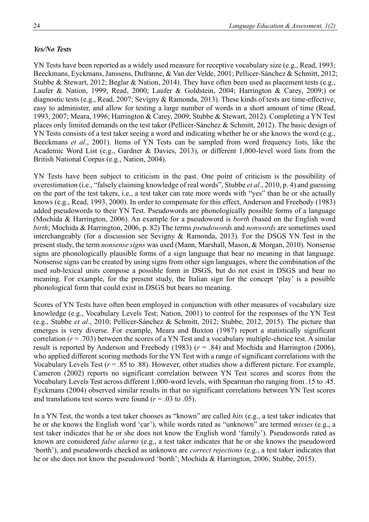# *Yes/No Tests*

YN Tests have been reported as a widely used measure for receptive vocabulary size (e.g., Read, 1993; Beeckmans, Eyckmans, Janssens, Dufranne, & Van der Velde, 2001; Pellicer-Sánchez & Schmitt, 2012; Stubbe & Stewart, 2012; Beglar & Nation, 2014). They have often been used as placement tests (e.g., Laufer & Nation, 1999; Read, 2000; Laufer & Goldstein, 2004; Harrington & Carey, 2009;) or diagnostic tests (e.g., Read, 2007; Sevigny & Ramonda, 2013). These kinds of tests are time-effective, easy to administer, and allow for testing a large number of words in a short amount of time (Read, 1993, 2007; Meara, 1996; Harrington & Carey, 2009; Stubbe & Stewart, 2012). Completing a YN Test places only limited demands on the test taker (Pellicer-Sánchez & Schmitt, 2012). The basic design of YN Tests consists of a test taker seeing a word and indicating whether he or she knows the word (e.g., Beeckmans *et al*., 2001). Items of YN Tests can be sampled from word frequency lists, like the Academic Word List (e.g., Gardner & Davies, 2013), or different 1,000-level word lists from the British National Corpus (e.g., Nation, 2004).

YN Tests have been subject to criticism in the past. One point of criticism is the possibility of overestimation (i.e., "falsely claiming knowledge of real words", Stubbe *et al*., 2010, p. 4) and guessing on the part of the test takers, i.e., a test taker can rate more words with "yes" than he or she actually knows (e.g., Read, 1993, 2000). In order to compensate for this effect, Anderson and Freebody (1983) added pseudowords to their YN Test. Pseudowords are phonologically possible forms of a language (Mochida & Harrington, 2006). An example for a pseudoword is *borth* (based on the English word *birth*; Mochida & Harrington, 2006, p. 82) The terms *pseudowords* and *nonwords* are sometimes used interchangeably (for a discussion see Sevigny & Ramonda, 2013). For the DSGS YN Test in the present study, the term *nonsense signs* was used (Mann, Marshall, Mason, & Morgan, 2010). Nonsense signs are phonologically plausible forms of a sign language that bear no meaning in that language. Nonsense signs can be created by using signs from other sign languages, where the combination of the used sub-lexical units compose a possible form in DSGS, but do not exist in DSGS and bear no meaning. For example, for the present study, the Italian sign for the concept 'play' is a possible phonological form that could exist in DSGS but bears no meaning.

Scores of YN Tests have often been employed in conjunction with other measures of vocabulary size knowledge (e.g., Vocabulary Levels Test; Nation, 2001) to control for the responses of the YN Test (e.g., Stubbe *et al*., 2010; Pellicer-Sánchez & Schmitt, 2012; Stubbe, 2012, 2015). The picture that emerges is very diverse. For example, Meara and Buxton (1987) report a statistically significant correlation  $(r = .703)$  between the scores of a YN Test and a vocabulary multiple-choice test. A similar result is reported by Anderson and Freebody (1983) (*r* = .84) and Mochida and Harrington (2006), who applied different scoring methods for the YN Test with a range of significant correlations with the Vocabulary Levels Test ( $r = 0.85$  to 0.88). However, other studies show a different picture. For example, Cameron (2002) reports no significant correlation between YN Test scores and scores from the Vocabulary Levels Test across different 1,000-word levels, with Spearman rho ranging from .15 to .45. Eyckmans (2004) observed similar results in that no significant correlations between YN Test scores and translations test scores were found  $(r = .03 \text{ to } .05)$ .

In a YN Test, the words a test taker chooses as "known" are called *hits* (e.g., a test taker indicates that he or she knows the English word 'car'), while words rated as "unknown" are termed *misses* (e.g., a test taker indicates that he or she does not know the English word 'family'). Pseudowords rated as known are considered *false alarms* (e.g., a test taker indicates that he or she knows the pseudoword 'borth'), and pseudowords checked as unknown are *correct rejections* (e.g., a test taker indicates that he or she does not know the pseudoword 'borth'; Mochida & Harrington, 2006; Stubbe, 2015).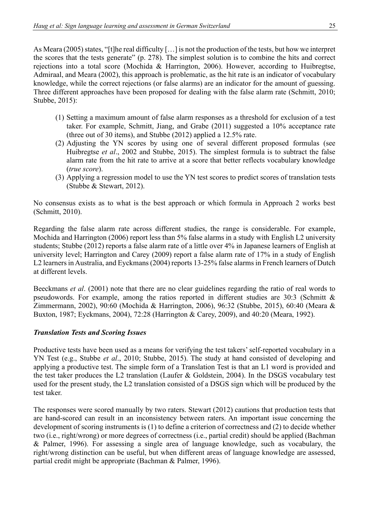As Meara (2005) states, "[t]he real difficulty […] is not the production of the tests, but how we interpret the scores that the tests generate" (p. 278). The simplest solution is to combine the hits and correct rejections into a total score (Mochida & Harrington, 2006). However, according to Huibregtse, Admiraal, and Meara (2002), this approach is problematic, as the hit rate is an indicator of vocabulary knowledge, while the correct rejections (or false alarms) are an indicator for the amount of guessing. Three different approaches have been proposed for dealing with the false alarm rate (Schmitt, 2010; Stubbe, 2015):

- (1) Setting a maximum amount of false alarm responses as a threshold for exclusion of a test taker. For example, Schmitt, Jiang, and Grabe (2011) suggested a 10% acceptance rate (three out of 30 items), and Stubbe (2012) applied a 12.5% rate.
- (2) Adjusting the YN scores by using one of several different proposed formulas (see Huibregtse *et al*., 2002 and Stubbe, 2015). The simplest formula is to subtract the false alarm rate from the hit rate to arrive at a score that better reflects vocabulary knowledge (*true score*).
- (3) Applying a regression model to use the YN test scores to predict scores of translation tests (Stubbe & Stewart, 2012).

No consensus exists as to what is the best approach or which formula in Approach 2 works best (Schmitt, 2010).

Regarding the false alarm rate across different studies, the range is considerable. For example, Mochida and Harrington (2006) report less than 5% false alarms in a study with English L2 university students; Stubbe (2012) reports a false alarm rate of a little over 4% in Japanese learners of English at university level; Harrington and Carey (2009) report a false alarm rate of 17% in a study of English L2 learners in Australia, and Eyckmans (2004) reports 13-25% false alarms in French learners of Dutch at different levels.

Beeckmans *et al*. (2001) note that there are no clear guidelines regarding the ratio of real words to pseudowords. For example, among the ratios reported in different studies are 30:3 (Schmitt & Zimmermann, 2002), 90:60 (Mochida & Harrington, 2006), 96:32 (Stubbe, 2015), 60:40 (Meara & Buxton, 1987; Eyckmans, 2004), 72:28 (Harrington & Carey, 2009), and 40:20 (Meara, 1992).

### *Translation Tests and Scoring Issues*

Productive tests have been used as a means for verifying the test takers' self-reported vocabulary in a YN Test (e.g., Stubbe *et al*., 2010; Stubbe, 2015). The study at hand consisted of developing and applying a productive test. The simple form of a Translation Test is that an L1 word is provided and the test taker produces the L2 translation (Laufer & Goldstein, 2004). In the DSGS vocabulary test used for the present study, the L2 translation consisted of a DSGS sign which will be produced by the test taker.

The responses were scored manually by two raters. Stewart (2012) cautions that production tests that are hand-scored can result in an inconsistency between raters. An important issue concerning the development of scoring instruments is (1) to define a criterion of correctness and (2) to decide whether two (i.e., right/wrong) or more degrees of correctness (i.e., partial credit) should be applied (Bachman & Palmer, 1996). For assessing a single area of language knowledge, such as vocabulary, the right/wrong distinction can be useful, but when different areas of language knowledge are assessed, partial credit might be appropriate (Bachman & Palmer, 1996).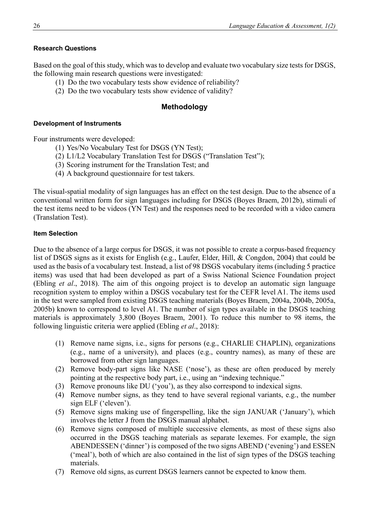### **Research Questions**

Based on the goal of this study, which was to develop and evaluate two vocabulary size tests for DSGS, the following main research questions were investigated:

- (1) Do the two vocabulary tests show evidence of reliability?
- (2) Do the two vocabulary tests show evidence of validity?

# **Methodology**

### **Development of Instruments**

Four instruments were developed:

- (1) Yes/No Vocabulary Test for DSGS (YN Test);
- (2) L1/L2 Vocabulary Translation Test for DSGS ("Translation Test");
- (3) Scoring instrument for the Translation Test; and
- (4) A background questionnaire for test takers.

The visual-spatial modality of sign languages has an effect on the test design. Due to the absence of a conventional written form for sign languages including for DSGS (Boyes Braem, 2012b), stimuli of the test items need to be videos (YN Test) and the responses need to be recorded with a video camera (Translation Test).

### **Item Selection**

Due to the absence of a large corpus for DSGS, it was not possible to create a corpus-based frequency list of DSGS signs as it exists for English (e.g., Laufer, Elder, Hill, & Congdon, 2004) that could be used as the basis of a vocabulary test. Instead, a list of 98 DSGS vocabulary items (including 5 practice items) was used that had been developed as part of a Swiss National Science Foundation project (Ebling *et al*., 2018). The aim of this ongoing project is to develop an automatic sign language recognition system to employ within a DSGS vocabulary test for the CEFR level A1. The items used in the test were sampled from existing DSGS teaching materials (Boyes Braem, 2004a, 2004b, 2005a, 2005b) known to correspond to level A1. The number of sign types available in the DSGS teaching materials is approximately 3,800 (Boyes Braem, 2001). To reduce this number to 98 items, the following linguistic criteria were applied (Ebling *et al*., 2018):

- (1) Remove name signs, i.e., signs for persons (e.g., CHARLIE CHAPLIN), organizations (e.g., name of a university), and places (e.g., country names), as many of these are borrowed from other sign languages.
- (2) Remove body-part signs like NASE ('nose'), as these are often produced by merely pointing at the respective body part, i.e., using an "indexing technique."
- (3) Remove pronouns like DU ('you'), as they also correspond to indexical signs.
- (4) Remove number signs, as they tend to have several regional variants, e.g., the number sign ELF ('eleven').
- (5) Remove signs making use of fingerspelling, like the sign JANUAR ('January'), which involves the letter J from the DSGS manual alphabet.
- (6) Remove signs composed of multiple successive elements, as most of these signs also occurred in the DSGS teaching materials as separate lexemes. For example, the sign ABENDESSEN ('dinner') is composed of the two signs ABEND ('evening') and ESSEN ('meal'), both of which are also contained in the list of sign types of the DSGS teaching materials.
- (7) Remove old signs, as current DSGS learners cannot be expected to know them.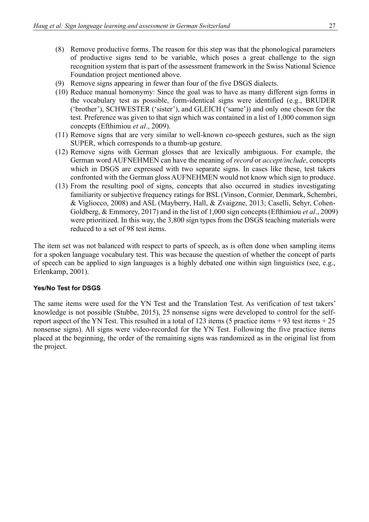- (8) Remove productive forms. The reason for this step was that the phonological parameters of productive signs tend to be variable, which poses a great challenge to the sign recognition system that is part of the assessment framework in the Swiss National Science Foundation project mentioned above.
- (9) Remove signs appearing in fewer than four of the five DSGS dialects.
- (10) Reduce manual homonymy: Since the goal was to have as many different sign forms in the vocabulary test as possible, form-identical signs were identified (e.g., BRUDER ('brother'), SCHWESTER ('sister'), and GLEICH ('same')) and only one chosen for the test. Preference was given to that sign which was contained in a list of 1,000 common sign concepts (Efthimiou *et al*., 2009).
- (11) Remove signs that are very similar to well-known co-speech gestures, such as the sign SUPER, which corresponds to a thumb-up gesture.
- (12) Remove signs with German glosses that are lexically ambiguous. For example, the German word AUFNEHMEN can have the meaning of *record* or *accept/include*, concepts which in DSGS are expressed with two separate signs. In cases like these, test takers confronted with the German gloss AUFNEHMEN would not know which sign to produce.
- (13) From the resulting pool of signs, concepts that also occurred in studies investigating familiarity or subjective frequency ratings for BSL (Vinson, Cormier, Denmark, Schembri, & Vigliocco, 2008) and ASL (Mayberry, Hall, & Zvaigzne, 2013; Caselli, Sehyr, Cohen-Goldberg, & Emmorey, 2017) and in the list of 1,000 sign concepts (Efthimiou *et al*., 2009) were prioritized. In this way, the 3,800 sign types from the DSGS teaching materials were reduced to a set of 98 test items.

The item set was not balanced with respect to parts of speech, as is often done when sampling items for a spoken language vocabulary test. This was because the question of whether the concept of parts of speech can be applied to sign languages is a highly debated one within sign linguistics (see, e.g., Erlenkamp, 2001).

### **Yes/No Test for DSGS**

The same items were used for the YN Test and the Translation Test. As verification of test takers' knowledge is not possible (Stubbe, 2015), 25 nonsense signs were developed to control for the selfreport aspect of the YN Test. This resulted in a total of 123 items (5 practice items + 93 test items + 25 nonsense signs). All signs were video-recorded for the YN Test. Following the five practice items placed at the beginning, the order of the remaining signs was randomized as in the original list from the project.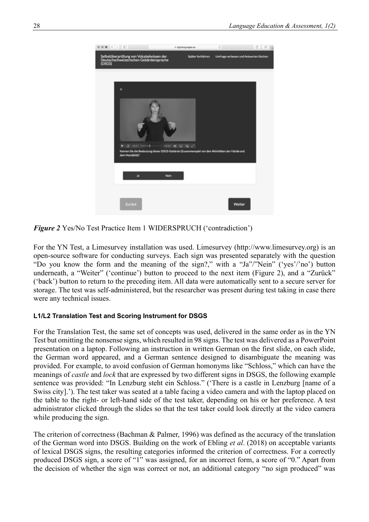

*Figure 2* Yes/No Test Practice Item 1 WIDERSPRUCH ('contradiction')

For the YN Test, a Limesurvey installation was used. Limesurvey (http://www.limesurvey.org) is an open-source software for conducting surveys. Each sign was presented separately with the question "Do you know the form and the meaning of the sign?," with a "Ja"/"Nein" ('yes'/'no') button underneath, a "Weiter" ('continue') button to proceed to the next item (Figure 2), and a "Zurück" ('back') button to return to the preceding item. All data were automatically sent to a secure server for storage. The test was self-administered, but the researcher was present during test taking in case there were any technical issues.

### **L1/L2 Translation Test and Scoring Instrument for DSGS**

For the Translation Test, the same set of concepts was used, delivered in the same order as in the YN Test but omitting the nonsense signs, which resulted in 98 signs. The test was delivered as a PowerPoint presentation on a laptop. Following an instruction in written German on the first slide, on each slide, the German word appeared, and a German sentence designed to disambiguate the meaning was provided. For example, to avoid confusion of German homonyms like "Schloss," which can have the meanings of *castle* and *lock* that are expressed by two different signs in DSGS, the following example sentence was provided: "In Lenzburg steht ein Schloss." ('There is a castle in Lenzburg [name of a Swiss city].'). The test taker was seated at a table facing a video camera and with the laptop placed on the table to the right- or left-hand side of the test taker, depending on his or her preference. A test administrator clicked through the slides so that the test taker could look directly at the video camera while producing the sign.

The criterion of correctness (Bachman & Palmer, 1996) was defined as the accuracy of the translation of the German word into DSGS. Building on the work of Ebling *et al*. (2018) on acceptable variants of lexical DSGS signs, the resulting categories informed the criterion of correctness. For a correctly produced DSGS sign, a score of "1" was assigned, for an incorrect form, a score of "0." Apart from the decision of whether the sign was correct or not, an additional category "no sign produced" was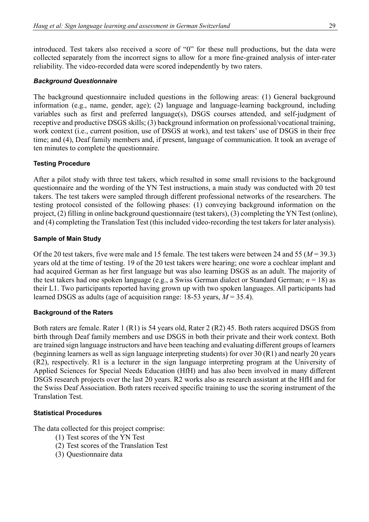introduced. Test takers also received a score of "0" for these null productions, but the data were collected separately from the incorrect signs to allow for a more fine-grained analysis of inter-rater reliability. The video-recorded data were scored independently by two raters.

### *Background Questionnaire*

The background questionnaire included questions in the following areas: (1) General background information (e.g., name, gender, age); (2) language and language-learning background, including variables such as first and preferred language(s), DSGS courses attended, and self-judgment of receptive and productive DSGS skills; (3) background information on professional/vocational training, work context (i.e., current position, use of DSGS at work), and test takers' use of DSGS in their free time; and (4), Deaf family members and, if present, language of communication. It took an average of ten minutes to complete the questionnaire.

### **Testing Procedure**

After a pilot study with three test takers, which resulted in some small revisions to the background questionnaire and the wording of the YN Test instructions, a main study was conducted with 20 test takers. The test takers were sampled through different professional networks of the researchers. The testing protocol consisted of the following phases: (1) conveying background information on the project, (2) filling in online background questionnaire (test takers), (3) completing the YN Test (online), and (4) completing the Translation Test (this included video-recording the test takers for later analysis).

### **Sample of Main Study**

Of the 20 test takers, five were male and 15 female. The test takers were between 24 and 55 (*M* = 39.3) years old at the time of testing. 19 of the 20 test takers were hearing; one wore a cochlear implant and had acquired German as her first language but was also learning DSGS as an adult. The majority of the test takers had one spoken language (e.g., a Swiss German dialect or Standard German; *n* = 18) as their L1. Two participants reported having grown up with two spoken languages. All participants had learned DSGS as adults (age of acquisition range:  $18-53$  years,  $M = 35.4$ ).

### **Background of the Raters**

Both raters are female. Rater 1 (R1) is 54 years old, Rater 2 (R2) 45. Both raters acquired DSGS from birth through Deaf family members and use DSGS in both their private and their work context. Both are trained sign language instructors and have been teaching and evaluating different groups of learners (beginning learners as well as sign language interpreting students) for over 30 (R1) and nearly 20 years (R2), respectively. R1 is a lecturer in the sign language interpreting program at the University of Applied Sciences for Special Needs Education (HfH) and has also been involved in many different DSGS research projects over the last 20 years. R2 works also as research assistant at the HfH and for the Swiss Deaf Association. Both raters received specific training to use the scoring instrument of the Translation Test.

### **Statistical Procedures**

The data collected for this project comprise:

- (1) Test scores of the YN Test
- (2) Test scores of the Translation Test
- (3) Questionnaire data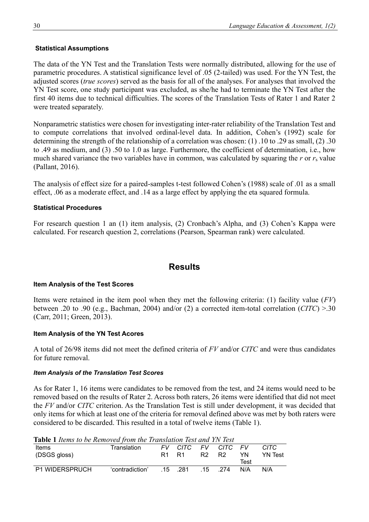### **Statistical Assumptions**

The data of the YN Test and the Translation Tests were normally distributed, allowing for the use of parametric procedures. A statistical significance level of .05 (2-tailed) was used. For the YN Test, the adjusted scores (*true scores*) served as the basis for all of the analyses. For analyses that involved the YN Test score, one study participant was excluded, as she/he had to terminate the YN Test after the first 40 items due to technical difficulties. The scores of the Translation Tests of Rater 1 and Rater 2 were treated separately.

Nonparametric statistics were chosen for investigating inter-rater reliability of the Translation Test and to compute correlations that involved ordinal-level data. In addition, Cohen's (1992) scale for determining the strength of the relationship of a correlation was chosen: (1) .10 to .29 as small, (2) .30 to .49 as medium, and (3) .50 to 1.0 as large. Furthermore, the coefficient of determination, i.e., how much shared variance the two variables have in common, was calculated by squaring the *r* or *r*<sup>s</sup> value (Pallant, 2016).

The analysis of effect size for a paired-samples t-test followed Cohen's (1988) scale of .01 as a small effect, .06 as a moderate effect, and .14 as a large effect by applying the eta squared formula.

### **Statistical Procedures**

For research question 1 an (1) item analysis, (2) Cronbach's Alpha, and (3) Cohen's Kappa were calculated. For research question 2, correlations (Pearson, Spearman rank) were calculated.

# **Results**

### **Item Analysis of the Test Scores**

Items were retained in the item pool when they met the following criteria: (1) facility value (*FV*) between .20 to .90 (e.g., Bachman, 2004) and/or (2) a corrected item-total correlation (*CITC*) >.30 (Carr, 2011; Green, 2013).

### **Item Analysis of the YN Test Acores**

A total of 26/98 items did not meet the defined criteria of *FV* and/or *CITC* and were thus candidates for future removal.

### *Item Analysis of the Translation Test Scores*

As for Rater 1, 16 items were candidates to be removed from the test, and 24 items would need to be removed based on the results of Rater 2. Across both raters, 26 items were identified that did not meet the *FV* and/or *CITC* criterion. As the Translation Test is still under development, it was decided that only items for which at least one of the criteria for removal defined above was met by both raters were considered to be discarded. This resulted in a total of twelve items (Table 1).

| <b>Table 1</b> Items to be Removed from the Translation Test and YN Test |
|--------------------------------------------------------------------------|
|--------------------------------------------------------------------------|

| <b>TWOICE THEMIS TO GETTEMOTEN HOME IN MISRATION TEST WHAT ITY TEST</b> |                 |       |              |                               |            |      |         |
|-------------------------------------------------------------------------|-----------------|-------|--------------|-------------------------------|------------|------|---------|
| Items                                                                   | Translation     |       | FV CITC      |                               | FV CITC FV |      | CITC.   |
| (DSGS gloss)                                                            |                 | R1 R1 |              | R <sub>2</sub> R <sub>2</sub> |            | YN.  | YN Test |
|                                                                         |                 |       |              |                               |            | Test |         |
| <b>P1 WIDERSPRUCH</b>                                                   | 'contradiction' |       | $.15$ $.281$ |                               | $.15$ 274  | N/A  | N/A     |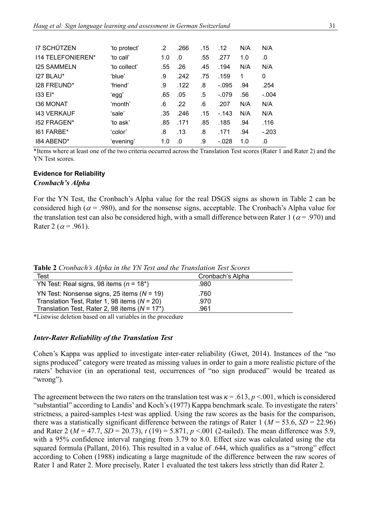| <b>I7 SCHÜTZEN</b> | 'to protect' | .2  | .266 | .15 | .12     | N/A | N/A     |
|--------------------|--------------|-----|------|-----|---------|-----|---------|
| 114 TELEFONIEREN*  | 'to call'    | 1.0 | .0   | .55 | .277    | 1.0 | .0      |
| <b>I25 SAMMELN</b> | 'to collect' | .55 | .26  | .45 | .194    | N/A | N/A     |
| 127 BLAU*          | 'blue'       | .9  | .242 | .75 | .159    | 1   | 0       |
| 128 FREUND*        | 'friend'     | .9  | .122 | .8  | $-.095$ | .94 | .254    |
| $133E*$            | 'egg'        | .65 | .05  | .5  | $-.079$ | .56 | $-.004$ |
| <b>I36 MONAT</b>   | 'month'      | .6  | .22  | .6  | .207    | N/A | N/A     |
| <b>143 VERKAUF</b> | 'sale'       | .35 | .246 | .15 | $-143$  | N/A | N/A     |
| 152 FRAGEN*        | 'to ask'     | .85 | .171 | .85 | .185    | .94 | .116    |
| 161 FARBE*         | 'color'      | .8  | .13  | .8  | .171    | .94 | $-.203$ |
| 184 ABEND*         | 'evening'    | 1.0 | .0   | .9  | $-.028$ | 1.0 | .0      |

\*Items where at least one of the two criteria occurred across the Translation Test scores (Rater 1 and Rater 2) and the YN Test scores.

# **Evidence for Reliability**

### *Cronbach's Alpha*

For the YN Test, the Cronbach's Alpha value for the real DSGS signs as shown in Table 2 can be considered high ( $\alpha$  = .980), and for the nonsense signs, acceptable. The Cronbach's Alpha value for the translation test can also be considered high, with a small difference between Rater 1 ( $\alpha$  = .970) and Rater 2 ( $\alpha$  = .961).

| <b>Rapic</b> 4 Cronouch's Alpha in the TIV Test and the Translation Test Scores |                  |  |  |
|---------------------------------------------------------------------------------|------------------|--|--|
| Test                                                                            | Cronbach's Alpha |  |  |
| YN Test: Real signs, 98 items ( $n = 18*$ )                                     | .980.            |  |  |
| YN Test: Nonsense signs, 25 items $(N = 19)$                                    | .760             |  |  |
| Translation Test, Rater 1, 98 items $(N = 20)$                                  | .970             |  |  |
| Translation Test, Rater 2, 98 items ( $N = 17$ <sup>*</sup> )                   | .961             |  |  |
|                                                                                 |                  |  |  |

**Table 2** *Cronbach's Alpha in the YN Test and the Translation Test Scores*

\*Listwise deletion based on all variables in the procedure

### *Inter-Rater Reliability of the Translation Test*

Cohen's Kappa was applied to investigate inter-rater reliability (Gwet, 2014). Instances of the "no signs produced" category were treated as missing values in order to gain a more realistic picture of the raters' behavior (in an operational test, occurrences of "no sign produced" would be treated as "wrong").

The agreement between the two raters on the translation test was  $\kappa = .613$ ,  $p < .001$ , which is considered "substantial" according to Landis' and Koch's (1977) Kappa benchmark scale. To investigate the raters' strictness, a paired-samples t-test was applied. Using the raw scores as the basis for the comparison, there was a statistically significant difference between the ratings of Rater 1 ( $M = 53.6$ ,  $SD = 22.96$ ) and Rater 2 ( $M = 47.7$ ,  $SD = 20.73$ ),  $t(19) = 5.871$ ,  $p < .001$  (2-tailed). The mean difference was 5.9, with a 95% confidence interval ranging from 3.79 to 8.0. Effect size was calculated using the eta squared formula (Pallant, 2016). This resulted in a value of .644, which qualifies as a "strong" effect according to Cohen (1988) indicating a large magnitude of the difference between the raw scores of Rater 1 and Rater 2. More precisely, Rater 1 evaluated the test takers less strictly than did Rater 2.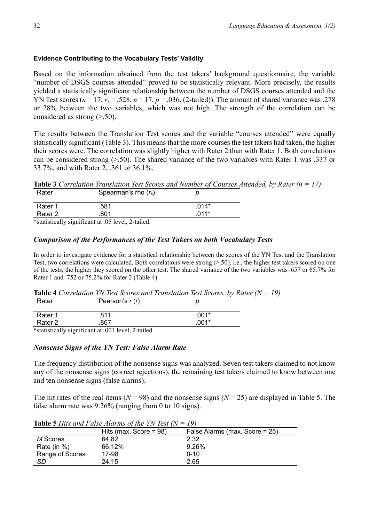### **Evidence Contributing to the Vocabulary Tests' Validity**

Based on the information obtained from the test takers' background questionnaire, the variable "number of DSGS courses attended" proved to be statistically relevant. More precisely, the results yielded a statistically significant relationship between the number of DSGS courses attended and the YN Test scores  $(n = 17; r_s = .528, n = 17, p = .036, (2-tailed))$ . The amount of shared variance was .278 or 28% between the two variables, which was not high. The strength of the correlation can be considered as strong (>.50).

The results between the Translation Test scores and the variable "courses attended" were equally statistically significant (Table 3). This means that the more courses the test takers had taken, the higher their scores were. The correlation was slightly higher with Rater 2 than with Rater 1. Both correlations can be considered strong (>.50). The shared variance of the two variables with Rater 1 was .337 or 33.7%, and with Rater 2, .361 or 36.1%.

**Table 3** *Correlation Translation Test Scores and Number of Courses Attended, by Rater (n = 17)* 

| Rater   | Spearman's rho $(r_s)$                          |         |
|---------|-------------------------------------------------|---------|
| Rater 1 | .581                                            | $.014*$ |
| Rater 2 | .601                                            | በ11*    |
|         | *statistically significant at 05 level 2-tailed |         |

\*statistically significant at .05 level, 2-tailed.

# *Comparison of the Performances of the Test Takers on both Vocabulary Tests*

In order to investigate evidence for a statistical relationship between the scores of the YN Test and the Translation Test, two correlations were calculated. Both correlations were strong  $(0.50)$ , i.e., the higher test takers scored on one of the tests, the higher they scored on the other test. The shared variance of the two variables was .657 or 65.7% for Rater 1 and .752 or 75.2% for Rater 2 (Table 4).

| Rater   | Pearson's $r(r)$                                                  | р       |
|---------|-------------------------------------------------------------------|---------|
| Rater 1 | .811                                                              | $.001*$ |
| Rater 2 | .867                                                              | .001*   |
| .       | $\cdot$ $\cdot$ $\sim$<br>$\sim$ $\sim$ $\sim$ $\sim$ $\sim$<br>. |         |

\*statistically significant at .001 level, 2-tailed.

### *Nonsense Signs of the YN Test: False Alarm Rate*

The frequency distribution of the nonsense signs was analyzed. Seven test takers claimed to not know any of the nonsense signs (correct rejections), the remaining test takers claimed to know between one and ten nonsense signs (false alarms).

The hit rates of the real items ( $N = 98$ ) and the nonsense signs ( $N = 25$ ) are displayed in Table 5. The false alarm rate was 9.26% (ranging from 0 to 10 signs).

|                 | <b>TAUR STINS AND I AND THAINS OF THE ITY TEST ITY</b> |                                |
|-----------------|--------------------------------------------------------|--------------------------------|
|                 | Hits (max. Score = $98$ )                              | False Alarms (max. Score = 25) |
| M Scores        | 64.82                                                  | 2.32                           |
| Rate (in $\%$ ) | 66.12%                                                 | 9.26%                          |
| Range of Scores | 17-98                                                  | $0 - 10$                       |
| SD              | 24.15                                                  | 2.65                           |

**Table 5** *Hits and False Alarms of the YN Test (N = 19)*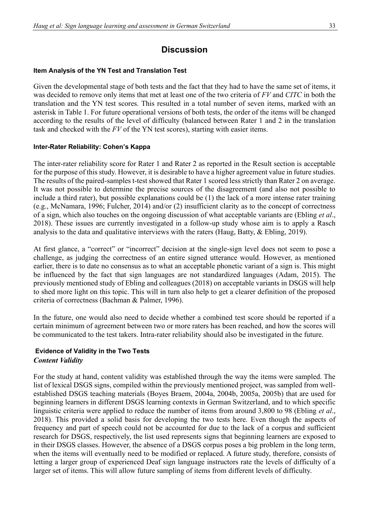# **Discussion**

### **Item Analysis of the YN Test and Translation Test**

Given the developmental stage of both tests and the fact that they had to have the same set of items, it was decided to remove only items that met at least one of the two criteria of *FV* and *CITC* in both the translation and the YN test scores. This resulted in a total number of seven items, marked with an asterisk in Table 1. For future operational versions of both tests, the order of the items will be changed according to the results of the level of difficulty (balanced between Rater 1 and 2 in the translation task and checked with the *FV* of the YN test scores), starting with easier items.

### **Inter-Rater Reliability: Cohen's Kappa**

The inter-rater reliability score for Rater 1 and Rater 2 as reported in the Result section is acceptable for the purpose of this study. However, it is desirable to have a higher agreement value in future studies. The results of the paired-samples t-test showed that Rater 1 scored less strictly than Rater 2 on average. It was not possible to determine the precise sources of the disagreement (and also not possible to include a third rater), but possible explanations could be (1) the lack of a more intense rater training (e.g., McNamara, 1996; Fulcher, 2014) and/or (2) insufficient clarity as to the concept of correctness of a sign, which also touches on the ongoing discussion of what acceptable variants are (Ebling *et al*., 2018). These issues are currently investigated in a follow-up study whose aim is to apply a Rasch analysis to the data and qualitative interviews with the raters (Haug, Batty, & Ebling, 2019).

At first glance, a "correct" or "incorrect" decision at the single-sign level does not seem to pose a challenge, as judging the correctness of an entire signed utterance would. However, as mentioned earlier, there is to date no consensus as to what an acceptable phonetic variant of a sign is. This might be influenced by the fact that sign languages are not standardized languages (Adam, 2015). The previously mentioned study of Ebling and colleagues (2018) on acceptable variants in DSGS will help to shed more light on this topic. This will in turn also help to get a clearer definition of the proposed criteria of correctness (Bachman & Palmer, 1996).

In the future, one would also need to decide whether a combined test score should be reported if a certain minimum of agreement between two or more raters has been reached, and how the scores will be communicated to the test takers. Intra-rater reliability should also be investigated in the future.

# **Evidence of Validity in the Two Tests** *Content Validity*

For the study at hand, content validity was established through the way the items were sampled. The list of lexical DSGS signs, compiled within the previously mentioned project, was sampled from wellestablished DSGS teaching materials (Boyes Braem, 2004a, 2004b, 2005a, 2005b) that are used for beginning learners in different DSGS learning contexts in German Switzerland, and to which specific linguistic criteria were applied to reduce the number of items from around 3,800 to 98 (Ebling *et al*., 2018). This provided a solid basis for developing the two tests here. Even though the aspects of frequency and part of speech could not be accounted for due to the lack of a corpus and sufficient research for DSGS, respectively, the list used represents signs that beginning learners are exposed to in their DSGS classes. However, the absence of a DSGS corpus poses a big problem in the long term, when the items will eventually need to be modified or replaced. A future study, therefore, consists of letting a larger group of experienced Deaf sign language instructors rate the levels of difficulty of a larger set of items. This will allow future sampling of items from different levels of difficulty.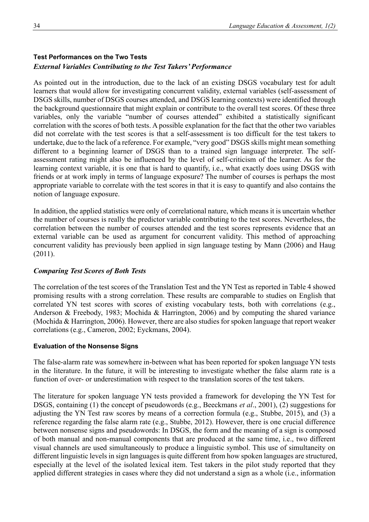# **Test Performances on the Two Tests** *External Variables Contributing to the Test Takers' Performance*

As pointed out in the introduction, due to the lack of an existing DSGS vocabulary test for adult learners that would allow for investigating concurrent validity, external variables (self-assessment of DSGS skills, number of DSGS courses attended, and DSGS learning contexts) were identified through the background questionnaire that might explain or contribute to the overall test scores. Of these three variables, only the variable "number of courses attended" exhibited a statistically significant correlation with the scores of both tests. A possible explanation for the fact that the other two variables did not correlate with the test scores is that a self-assessment is too difficult for the test takers to undertake, due to the lack of a reference. For example, "very good" DSGS skills might mean something different to a beginning learner of DSGS than to a trained sign language interpreter. The selfassessment rating might also be influenced by the level of self-criticism of the learner. As for the learning context variable, it is one that is hard to quantify, i.e., what exactly does using DSGS with friends or at work imply in terms of language exposure? The number of courses is perhaps the most appropriate variable to correlate with the test scores in that it is easy to quantify and also contains the notion of language exposure.

In addition, the applied statistics were only of correlational nature, which means it is uncertain whether the number of courses is really the predictor variable contributing to the test scores. Nevertheless, the correlation between the number of courses attended and the test scores represents evidence that an external variable can be used as argument for concurrent validity. This method of approaching concurrent validity has previously been applied in sign language testing by Mann (2006) and Haug (2011).

# *Comparing Test Scores of Both Tests*

The correlation of the test scores of the Translation Test and the YN Test as reported in Table 4 showed promising results with a strong correlation. These results are comparable to studies on English that correlated YN test scores with scores of existing vocabulary tests, both with correlations (e.g., Anderson & Freebody, 1983; Mochida & Harrington, 2006) and by computing the shared variance (Mochida & Harrington, 2006). However, there are also studies for spoken language that report weaker correlations (e.g., Cameron, 2002; Eyckmans, 2004).

# **Evaluation of the Nonsense Signs**

The false-alarm rate was somewhere in-between what has been reported for spoken language YN tests in the literature. In the future, it will be interesting to investigate whether the false alarm rate is a function of over- or underestimation with respect to the translation scores of the test takers.

The literature for spoken language YN tests provided a framework for developing the YN Test for DSGS, containing (1) the concept of pseudowords (e.g., Beeckmans *et al*., 2001), (2) suggestions for adjusting the YN Test raw scores by means of a correction formula (e.g., Stubbe, 2015), and (3) a reference regarding the false alarm rate (e.g., Stubbe, 2012). However, there is one crucial difference between nonsense signs and pseudowords: In DSGS, the form and the meaning of a sign is composed of both manual and non-manual components that are produced at the same time, i.e., two different visual channels are used simultaneously to produce a linguistic symbol. This use of simultaneity on different linguistic levels in sign languages is quite different from how spoken languages are structured, especially at the level of the isolated lexical item. Test takers in the pilot study reported that they applied different strategies in cases where they did not understand a sign as a whole (i.e., information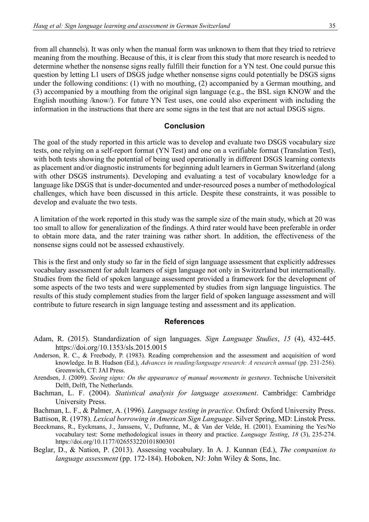from all channels). It was only when the manual form was unknown to them that they tried to retrieve meaning from the mouthing. Because of this, it is clear from this study that more research is needed to determine whether the nonsense signs really fulfill their function for a YN test. One could pursue this question by letting L1 users of DSGS judge whether nonsense signs could potentially be DSGS signs under the following conditions: (1) with no mouthing, (2) accompanied by a German mouthing, and (3) accompanied by a mouthing from the original sign language (e.g., the BSL sign KNOW and the English mouthing /know/). For future YN Test uses, one could also experiment with including the information in the instructions that there are some signs in the test that are not actual DSGS signs.

### **Conclusion**

The goal of the study reported in this article was to develop and evaluate two DSGS vocabulary size tests, one relying on a self-report format (YN Test) and one on a verifiable format (Translation Test), with both tests showing the potential of being used operationally in different DSGS learning contexts as placement and/or diagnostic instruments for beginning adult learners in German Switzerland (along with other DSGS instruments). Developing and evaluating a test of vocabulary knowledge for a language like DSGS that is under-documented and under-resourced poses a number of methodological challenges, which have been discussed in this article. Despite these constraints, it was possible to develop and evaluate the two tests.

A limitation of the work reported in this study was the sample size of the main study, which at 20 was too small to allow for generalization of the findings. A third rater would have been preferable in order to obtain more data, and the rater training was rather short. In addition, the effectiveness of the nonsense signs could not be assessed exhaustively.

This is the first and only study so far in the field of sign language assessment that explicitly addresses vocabulary assessment for adult learners of sign language not only in Switzerland but internationally. Studies from the field of spoken language assessment provided a framework for the development of some aspects of the two tests and were supplemented by studies from sign language linguistics. The results of this study complement studies from the larger field of spoken language assessment and will contribute to future research in sign language testing and assessment and its application.

#### **References**

- Adam, R. (2015). Standardization of sign languages. *Sign Language Studies*, *15* (4), 432-445. https://doi.org/10.1353/sls.2015.0015
- Anderson, R. C., & Freebody, P. (1983). Reading comprehension and the assessment and acquisition of word knowledge. In B. Hudson (Ed.), *Advances in reading/language research: A research annual* (pp. 231-256). Greenwich, CT: JAI Press.
- Arendsen, J. (2009). *Seeing signs: On the appearance of manual movements in gestures*. Technische Universiteit Delft, Delft, The Netherlands.
- Bachman, L. F. (2004). *Statistical analysis for language assessment*. Cambridge: Cambridge University Press.

Bachman, L. F., & Palmer, A. (1996). *Language testing in practice*. Oxford: Oxford University Press.

Battison, R. (1978). *Lexical borrowing in American Sign Language*. Silver Spring, MD: Linstok Press.

- Beeckmans, R., Eyckmans, J., Janssens, V., Dufranne, M., & Van der Velde, H. (2001). Examining the Yes/No vocabulary test: Some methodological issues in theory and practice. *Language Testing*, *18* (3), 235-274. https://doi.org/10.1177/026553220101800301
- Beglar, D., & Nation, P. (2013). Assessing vocabulary. In A. J. Kunnan (Ed.), *The companion to language assessment* (pp. 172-184). Hoboken, NJ: John Wiley & Sons, Inc.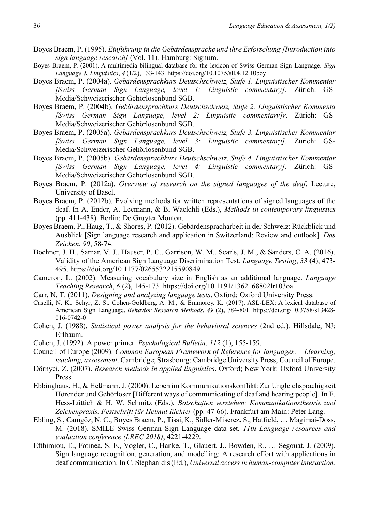- Boyes Braem, P. (1995). *Einführung in die Gebärdensprache und ihre Erforschung [Introduction into sign language research]* (Vol. 11). Hamburg: Signum.
- Boyes Braem, P. (2001). A multimedia bilingual database for the lexicon of Swiss German Sign Language. *Sign Language & Linguistics*, *4* (1/2), 133-143. https://doi.org/10.1075/sll.4.12.10boy
- Boyes Braem, P. (2004a). *Gebärdensprachkurs Deutschschweiz, Stufe 1. Linguistischer Kommentar [Swiss German Sign Language, level 1: Linguistic commentary].* Zürich: GS-Media/Schweizerischer Gehörlosenbund SGB.
- Boyes Braem, P. (2004b). *Gebärdensprachkurs Deutschschweiz, Stufe 2. Linguistischer Kommenta [Swiss German Sign Language, level 2: Linguistic commentary]r*. Zürich: GS-Media/Schweizerischer Gehörlosenbund SGB.
- Boyes Braem, P. (2005a). *Gebärdensprachkurs Deutschschweiz, Stufe 3. Linguistischer Kommentar [Swiss German Sign Language, level 3: Linguistic commentary]*. Zürich: GS-Media/Schweizerischer Gehörlosenbund SGB.
- Boyes Braem, P. (2005b). *Gebärdensprachkurs Deutschschweiz, Stufe 4. Linguistischer Kommentar [Swiss German Sign Language, level 4: Linguistic commentary].* Zürich: GS-Media/Schweizerischer Gehörlosenbund SGB.
- Boyes Braem, P. (2012a). *Overview of research on the signed languages of the deaf*. Lecture, University of Basel.
- Boyes Braem, P. (2012b). Evolving methods for written representations of signed languages of the deaf. In A. Ender, A. Leemann, & B. Waelchli (Eds.), *Methods in contemporary linguistics* (pp. 411-438). Berlin: De Gruyter Mouton.
- Boyes Braem, P., Haug, T., & Shores, P. (2012). Gebärdenspracharbeit in der Schweiz: Rückblick und Ausblick [Sign language research and application in Switzerland: Review and outlook]. *Das Zeichen*, *90*, 58-74.
- Bochner, J. H., Samar, V. J., Hauser, P. C., Garrison, W. M., Searls, J. M., & Sanders, C. A. (2016). Validity of the American Sign Language Discrimination Test. *Language Testing*, *33* (4), 473- 495. https://doi.org/10.1177/0265532215590849
- Cameron, L. (2002). Measuring vocabulary size in English as an additional language. *Language Teaching Research*, *6* (2), 145-173. https://doi.org/10.1191/1362168802lr103oa
- Carr, N. T. (2011). *Designing and analyzing language tests*. Oxford: Oxford University Press.
- Caselli, N. K., Sehyr, Z. S., Cohen-Goldberg, A. M., & Emmorey, K. (2017). ASL-LEX: A lexical database of American Sign Language. *Behavior Research Methods*, *49* (2), 784-801. https://doi.org/10.3758/s13428- 016-0742-0
- Cohen, J. (1988). *Statistical power analysis for the behavioral sciences* (2nd ed.). Hillsdale, NJ: Erlbaum.
- Cohen, J. (1992). A power primer. *Psychological Bulletin, 112* (1), 155-159.
- Council of Europe (2009). *Common European Framework of Reference for languages: Llearning, teaching, assessment*. Cambridge; Strasbourg: Cambridge University Press; Council of Europe.
- Dörnyei, Z. (2007). *Research methods in applied linguistics*. Oxford; New York: Oxford University Press.
- Ebbinghaus, H., & Heßmann, J. (2000). Leben im Kommunikationskonflikt: Zur Ungleichsprachigkeit Hörender und Gehörloser [Different ways of communicating of deaf and hearing people]. In E. Hess-Lüttich & H. W. Schmitz (Eds.), *Botschaften verstehen: Kommunikationstheorie und Zeichenpraxis. Festschrift für Helmut Richter* (pp. 47-66). Frankfurt am Main: Peter Lang.
- Ebling, S., Camgöz, N. C., Boyes Braem, P., Tissi, K., Sidler-Miserez, S., Hatfield, … Magimai-Doss, M. (2018). SMILE Swiss German Sign Language data set. *11th Language resources and evaluation conference (LREC 2018)*, 4221-4229.
- Efthimiou, E., Fotinea, S. E., Vogler, C., Hanke, T., Glauert, J., Bowden, R., … Segouat, J. (2009). Sign language recognition, generation, and modelling: A research effort with applications in deaf communication. In C. Stephanidis (Ed.), *Universal access in human-computer interaction.*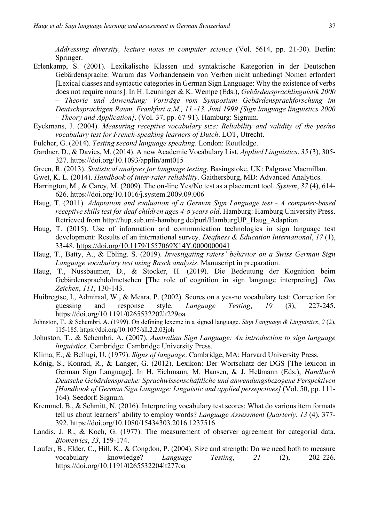*Addressing diversity, lecture notes in computer science* (Vol. 5614, pp. 21-30). Berlin: Springer.

- Erlenkamp, S. (2001). Lexikalische Klassen und syntaktische Kategorien in der Deutschen Gebärdensprache: Warum das Vorhandensein von Verben nicht unbedingt Nomen erfordert [Lexical classes and syntactic categories in German Sign Language: Why the existence of verbs does not require nouns]. In H. Leuninger & K. Wempe (Eds.), *Gebärdensprachlinguistik 2000 – Theorie und Anwendung: Vorträge vom Symposium Gebärdensprachforschung im Deutschsprachigen Raum, Frankfurt a.M., 11.-13. Juni 1999 [Sign language linguistics 2000 – Theory and Application]*. (Vol. 37, pp. 67-91). Hamburg: Signum.
- Eyckmans, J. (2004). *Measuring receptive vocabulary size: Reliability and validity of the yes/no vocabulary test for French-speaking learners of Dutch*. LOT, Utrecht.
- Fulcher, G. (2014). *Testing second language speaking*. London: Routledge.
- Gardner, D., & Davies, M. (2014). A new Academic Vocabulary List. *Applied Linguistics*, *35* (3), 305- 327. https://doi.org/10.1093/applin/amt015
- Green, R. (2013). *Statistical analyses for language testing*. Basingstoke, UK: Palgrave Macmillan.
- Gwet, K. L. (2014). *Handbook of inter-rater reliability*. Gaithersburg, MD: Advanced Analytics.
- Harrington, M., & Carey, M. (2009). The on-line Yes/No test as a placement tool. *System*, *37* (4), 614- 626. https://doi.org/10.1016/j.system.2009.09.006
- Haug, T. (2011). *Adaptation and evaluation of a German Sign Language test - A computer-based receptive skills test for deaf children ages 4-8 years old*. Hamburg: Hamburg University Press. Retrieved from http://hup.sub.uni-hamburg.de/purl/HamburgUP\_Haug\_Adaption
- Haug, T. (2015). Use of information and communication technologies in sign language test development: Results of an international survey. *Deafness & Education International*, *17* (1), 33-48. https://doi.org/10.1179/1557069X14Y.0000000041
- Haug, T., Batty, A., & Ebling. S. (2019). *Investigating raters' behavior on a Swiss German Sign Language vocabulary test using Rasch analysis*. Manuscript in preparation.
- Haug, T., Nussbaumer, D., & Stocker, H. (2019). Die Bedeutung der Kognition beim Gebärdensprachdolmetschen [The role of cognition in sign language interpreting]*. Das Zeichen*, *111*, 130-143.
- Huibregtse, I., Admiraal, W., & Meara, P. (2002). Scores on a yes-no vocabulary test: Correction for guessing and response style. *Language Testing*, *19* (3), 227-245. https://doi.org/10.1191/0265532202lt229oa
- Johnston, T., & Schembri, A. (1999). On defining lexeme in a signed language. *Sign Language & Linguistics*, *2* (2), 115-185. https://doi.org/10.1075/sll.2.2.03joh
- Johnston, T., & Schembri, A. (2007). *Australian Sign Language: An introduction to sign language linguistics.* Cambridge: Cambridge University Press.
- Klima, E., & Bellugi, U. (1979). *Signs of language*. Cambridge, MA: Harvard University Press.
- König, S., Konrad, R., & Langer, G. (2012). Lexikon: Der Wortschatz der DGS [The lexicon in German Sign Language]. In H. Eichmann, M. Hansen, & J. Heßmann (Eds.), *Handbuch Deutsche Gebärdensprache: Sprachwissenschaftliche und anwendungsbezogene Perspektiven [Handbook of German Sign Language: Linguistic and applied persepctives]* (Vol. 50, pp. 111- 164). Seedorf: Signum.
- Kremmel, B., & Schmitt, N. (2016). Interpreting vocabulary test scores: What do various item formats tell us about learners' ability to employ words? *Language Assessment Quarterly*, *13* (4), 377- 392. https://doi.org/10.1080/15434303.2016.1237516
- Landis, J. R., & Koch, G. (1977). The measurement of observer agreement for categorial data. *Biometrics*, *33*, 159-174.
- Laufer, B., Elder, C., Hill, K., & Congdon, P. (2004). Size and strength: Do we need both to measure vocabulary knowledge? *Language Testing*, *21* (2), 202-226. https://doi.org/10.1191/0265532204lt277oa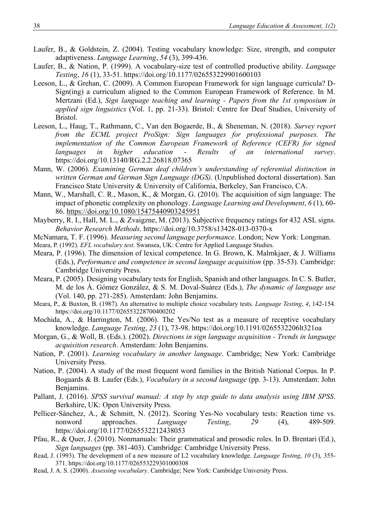- Laufer, B., & Goldstein, Z. (2004). Testing vocabulary knowledge: Size, strength, and computer adaptiveness. *Language Learning*, *54* (3), 399-436.
- Laufer, B., & Nation, P. (1999). A vocabulary-size test of controlled productive ability. *Language Testing*, *16* (1), 33-51. https://doi.org/10.1177/026553229901600103
- Leeson, L., & Grehan, C. (2009). A Common European Framework for sign language curricula? D-Sign(ing) a curriculum aligned to the Common European Framework of Reference. In M. Mertzani (Ed.), *Sign language teaching and learning - Papers from the 1st symposium in applied sign linguistics* (Vol. 1, pp. 21-33). Bristol: Centre for Deaf Studies, University of Bristol.
- Leeson, L., Haug, T., Rathmann, C., Van den Bogaerde, B., & Sheneman, N. (2018). *Survey report from the ECML project ProSign: Sign languages for professional purposes. The implementation of the Common European Framework of Reference (CEFR) for signed languages in higher education - Results of an international survey*. https://doi.org/10.13140/RG.2.2.26818.07365
- Mann, W. (2006). *Examining German deaf children's understanding of referential distinction in written German and German Sign Language (DGS)*. (Unpublished doctoral dissertation). San Francisco State University & University of California, Berkeley, San Francisco, CA.
- Mann, W., Marshall, C. R., Mason, K., & Morgan, G. (2010). The acquisition of sign language: The impact of phonetic complexity on phonology. *Language Learning and Development*, *6* (1), 60- 86.<https://doi.org/10.1080/15475440903245951>
- Mayberry, R. I., Hall, M. L., & Zvaigzne, M. (2013). Subjective frequency ratings for 432 ASL signs. *Behavior Research Methods*. https://doi.org/10.3758/s13428-013-0370-x
- McNamara, T. F. (1996). *Measuring second language performance*. London; New York: Longman.
- Meara, P. (1992). *EFL vocabulary test*. Swansea, UK: Centre for Applied Language Studies.
- Meara, P. (1996). The dimension of lexical competence. In G. Brown, K. Malmkjaer, & J. Williams (Eds.), *Performance and competence in second language acquisition* (pp. 35-53). Cambridge: Cambridge University Press.
- Meara, P. (2005). Designing vocabulary tests for English, Spanish and other languages. In C. S. Butler, M. de los Á. Gómez González, & S. M. Doval-Suárez (Eds.), *The dynamic of language use* (Vol. 140, pp. 271-285). Amsterdam: John Benjamins.
- Meara, P., & Buxton, B. (1987). An alternative to multiple choice vocabulary tests. *Language Testing*, *4*, 142-154. https://doi.org/10.1177/026553228700400202
- Mochida, A., & Harrington, M. (2006). The Yes/No test as a measure of receptive vocabulary knowledge. *Language Testing*, *23* (1), 73-98. https://doi.org/10.1191/0265532206lt321oa
- Morgan, G., & Woll, B. (Eds.). (2002). *Directions in sign language acquisition - Trends in language acquisition research*. Amsterdam: John Benjamins.
- Nation, P. (2001). *Learning vocabulary in another language*. Cambridge; New York: Cambridge University Press.
- Nation, P. (2004). A study of the most frequent word families in the British National Corpus. In P. Bogaards & B. Laufer (Eds.), *Vocabulary in a second language* (pp. 3-13). Amsterdam: John Benjamins.
- Pallant, J. (2016). *SPSS survival manual: A step by step guide to data analysis using IBM SPSS*. Berkshire, UK: Open University Press.
- Pellicer-Sánchez, A., & Schmitt, N. (2012). Scoring Yes-No vocabulary tests: Reaction time vs. nonword approaches. *Language Testing*, *29* (4), 489-509. https://doi.org/10.1177/0265532212438053
- Pfau, R., & Quer, J. (2010). Nonmanuals: Their grammatical and prosodic roles. In D. Brentari (Ed.), *Sign languages* (pp. 381-403). Cambridge: Cambridge University Press.
- Read, J. (1993). The development of a new measure of L2 vocabulary knowledge. *Language Testing*, *10* (3), 355- 371. https://doi.org/10.1177/026553229301000308
- Read, J. A. S. (2000). *Assessing vocabulary*. Cambridge; New York: Cambridge University Press.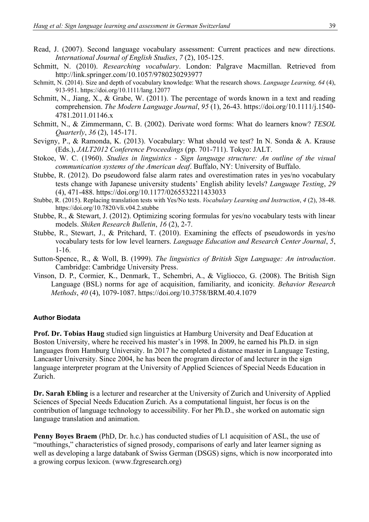- Read, J. (2007). Second language vocabulary assessment: Current practices and new directions. *International Journal of English Studies*, *7* (2), 105-125.
- Schmitt, N. (2010). *Researching vocabulary*. London: Palgrave Macmillan. Retrieved from http://link.springer.com/10.1057/9780230293977
- Schmitt, N. (2014). Size and depth of vocabulary knowledge: What the research shows. *Language Learning, 64* (4), 913-951. https://doi.org/10.1111/lang.12077
- Schmitt, N., Jiang, X., & Grabe, W. (2011). The percentage of words known in a text and reading comprehension. *The Modern Language Journal*, *95* (1), 26-43. https://doi.org/10.1111/j.1540- 4781.2011.01146.x
- Schmitt, N., & Zimmermann, C. B. (2002). Derivate word forms: What do learners know? *TESOL Quarterly*, *36* (2), 145-171.
- Sevigny, P., & Ramonda, K. (2013). Vocabulary: What should we test? In N. Sonda & A. Krause (Eds.), *JALT2012 Conference Proceedings* (pp. 701-711). Tokyo: JALT.
- Stokoe, W. C. (1960). *Studies in linguistics - Sign language structure: An outline of the visual communication systems of the American deaf*. Buffalo, NY: University of Buffalo.
- Stubbe, R. (2012). Do pseudoword false alarm rates and overestimation rates in yes/no vocabulary tests change with Japanese university students' English ability levels? *Language Testing*, *29* (4), 471-488. https://doi.org/10.1177/0265532211433033
- Stubbe, R. (2015). Replacing translation tests with Yes/No tests. *Vocabulary Learning and Instruction*, *4* (2), 38-48. https://doi.org/10.7820/vli.v04.2.stubbe
- Stubbe, R., & Stewart, J. (2012). Optimizing scoring formulas for yes/no vocabulary tests with linear models. *Shiken Research Bulletin*, *16* (2), 2-7.
- Stubbe, R., Stewart, J., & Pritchard, T. (2010). Examining the effects of pseudowords in yes/no vocabulary tests for low level learners. *Language Education and Research Center Journal*, *5*, 1-16.
- Sutton-Spence, R., & Woll, B. (1999). *The linguistics of British Sign Language: An introduction*. Cambridge: Cambridge University Press.
- Vinson, D. P., Cormier, K., Denmark, T., Schembri, A., & Vigliocco, G. (2008). The British Sign Language (BSL) norms for age of acquisition, familiarity, and iconicity. *Behavior Research Methods*, *40* (4), 1079-1087. https://doi.org/10.3758/BRM.40.4.1079

#### **Author Biodata**

**Prof. Dr. Tobias Haug** studied sign linguistics at Hamburg University and Deaf Education at Boston University, where he received his master's in 1998. In 2009, he earned his Ph.D. in sign languages from Hamburg University. In 2017 he completed a distance master in Language Testing, Lancaster University. Since 2004, he has been the program director of and lecturer in the sign language interpreter program at the University of Applied Sciences of Special Needs Education in Zurich.

**Dr. Sarah Ebling** is a lecturer and researcher at the University of Zurich and University of Applied Sciences of Special Needs Education Zurich. As a computational linguist, her focus is on the contribution of language technology to accessibility. For her Ph.D., she worked on automatic sign language translation and animation.

**Penny Boyes Braem** (PhD, Dr. h.c.) has conducted studies of L1 acquisition of ASL, the use of "mouthings," characteristics of signed prosody, comparisons of early and later learner signing as well as developing a large databank of Swiss German (DSGS) signs, which is now incorporated into a growing corpus lexicon. (www.fzgresearch.org)